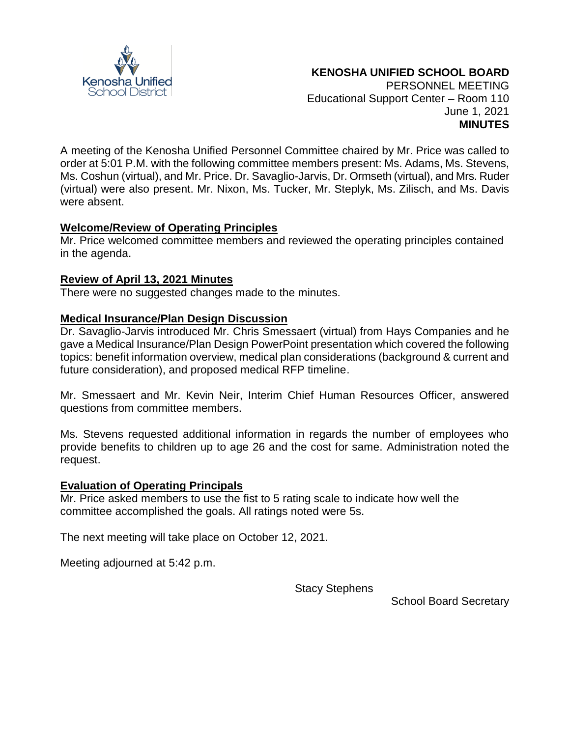

#### **KENOSHA UNIFIED SCHOOL BOARD** PERSONNEL MEETING Educational Support Center – Room 110 June 1, 2021

**MINUTES**

A meeting of the Kenosha Unified Personnel Committee chaired by Mr. Price was called to order at 5:01 P.M. with the following committee members present: Ms. Adams, Ms. Stevens, Ms. Coshun (virtual), and Mr. Price. Dr. Savaglio-Jarvis, Dr. Ormseth (virtual), and Mrs. Ruder (virtual) were also present. Mr. Nixon, Ms. Tucker, Mr. Steplyk, Ms. Zilisch, and Ms. Davis were absent.

## **Welcome/Review of Operating Principles**

Mr. Price welcomed committee members and reviewed the operating principles contained in the agenda.

# **Review of April 13, 2021 Minutes**

There were no suggested changes made to the minutes.

## **Medical Insurance/Plan Design Discussion**

Dr. Savaglio-Jarvis introduced Mr. Chris Smessaert (virtual) from Hays Companies and he gave a Medical Insurance/Plan Design PowerPoint presentation which covered the following topics: benefit information overview, medical plan considerations (background & current and future consideration), and proposed medical RFP timeline.

Mr. Smessaert and Mr. Kevin Neir, Interim Chief Human Resources Officer, answered questions from committee members.

Ms. Stevens requested additional information in regards the number of employees who provide benefits to children up to age 26 and the cost for same. Administration noted the request.

## **Evaluation of Operating Principals**

Mr. Price asked members to use the fist to 5 rating scale to indicate how well the committee accomplished the goals. All ratings noted were 5s.

The next meeting will take place on October 12, 2021.

Meeting adjourned at 5:42 p.m.

Stacy Stephens

School Board Secretary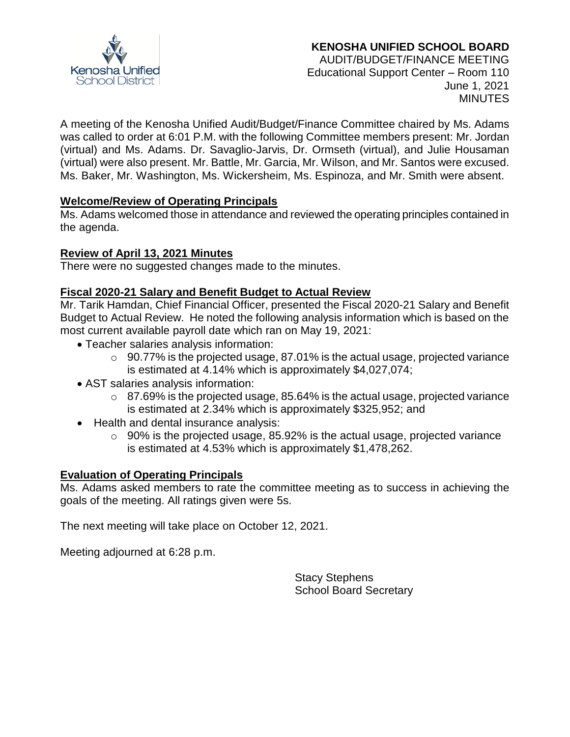

# **KENOSHA UNIFIED SCHOOL BOARD**

AUDIT/BUDGET/FINANCE MEETING Educational Support Center – Room 110 June 1, 2021 **MINUTES** 

A meeting of the Kenosha Unified Audit/Budget/Finance Committee chaired by Ms. Adams was called to order at 6:01 P.M. with the following Committee members present: Mr. Jordan (virtual) and Ms. Adams. Dr. Savaglio-Jarvis, Dr. Ormseth (virtual), and Julie Housaman (virtual) were also present. Mr. Battle, Mr. Garcia, Mr. Wilson, and Mr. Santos were excused. Ms. Baker, Mr. Washington, Ms. Wickersheim, Ms. Espinoza, and Mr. Smith were absent.

## **Welcome/Review of Operating Principals**

Ms. Adams welcomed those in attendance and reviewed the operating principles contained in the agenda.

# **Review of April 13, 2021 Minutes**

There were no suggested changes made to the minutes.

## **Fiscal 2020-21 Salary and Benefit Budget to Actual Review**

Mr. Tarik Hamdan, Chief Financial Officer, presented the Fiscal 2020-21 Salary and Benefit Budget to Actual Review. He noted the following analysis information which is based on the most current available payroll date which ran on May 19, 2021:

- Teacher salaries analysis information:
	- $\circ$  90.77% is the projected usage, 87.01% is the actual usage, projected variance is estimated at 4.14% which is approximately \$4,027,074;
- AST salaries analysis information:
	- $\circ$  87.69% is the projected usage, 85.64% is the actual usage, projected variance is estimated at 2.34% which is approximately \$325,952; and
- Health and dental insurance analysis:
	- $\circ$  90% is the projected usage, 85.92% is the actual usage, projected variance is estimated at 4.53% which is approximately \$1,478,262.

## **Evaluation of Operating Principals**

Ms. Adams asked members to rate the committee meeting as to success in achieving the goals of the meeting. All ratings given were 5s.

The next meeting will take place on October 12, 2021.

Meeting adjourned at 6:28 p.m.

Stacy Stephens School Board Secretary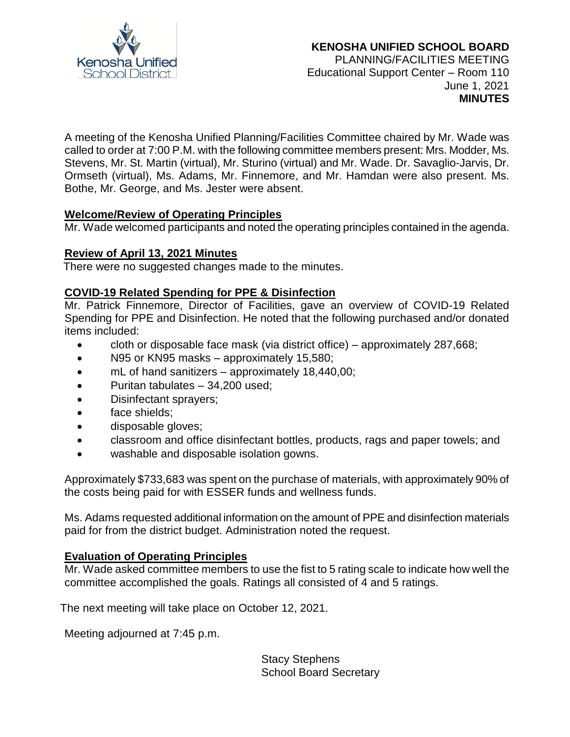

#### **KENOSHA UNIFIED SCHOOL BOARD** PLANNING/FACILITIES MEETING Educational Support Center – Room 110 June 1, 2021

**MINUTES**

A meeting of the Kenosha Unified Planning/Facilities Committee chaired by Mr. Wade was called to order at 7:00 P.M. with the following committee members present: Mrs. Modder, Ms. Stevens, Mr. St. Martin (virtual), Mr. Sturino (virtual) and Mr. Wade. Dr. Savaglio-Jarvis, Dr. Ormseth (virtual), Ms. Adams, Mr. Finnemore, and Mr. Hamdan were also present. Ms. Bothe, Mr. George, and Ms. Jester were absent.

## **Welcome/Review of Operating Principles**

Mr. Wade welcomed participants and noted the operating principles contained in the agenda.

## **Review of April 13, 2021 Minutes**

There were no suggested changes made to the minutes.

## **COVID-19 Related Spending for PPE & Disinfection**

Mr. Patrick Finnemore, Director of Facilities, gave an overview of COVID-19 Related Spending for PPE and Disinfection. He noted that the following purchased and/or donated items included:

- cloth or disposable face mask (via district office) approximately 287,668;
- N95 or KN95 masks approximately 15,580;
- mL of hand sanitizers approximately 18,440,00;
- Puritan tabulates 34,200 used;
- Disinfectant sprayers;
- face shields;
- disposable gloves;
- classroom and office disinfectant bottles, products, rags and paper towels; and
- washable and disposable isolation gowns.

Approximately \$733,683 was spent on the purchase of materials, with approximately 90% of the costs being paid for with ESSER funds and wellness funds.

Ms. Adams requested additional information on the amount of PPE and disinfection materials paid for from the district budget. Administration noted the request.

# **Evaluation of Operating Principles**

Mr. Wade asked committee members to use the fist to 5 rating scale to indicate how well the committee accomplished the goals. Ratings all consisted of 4 and 5 ratings.

The next meeting will take place on October 12, 2021.

Meeting adjourned at 7:45 p.m.

Stacy Stephens School Board Secretary